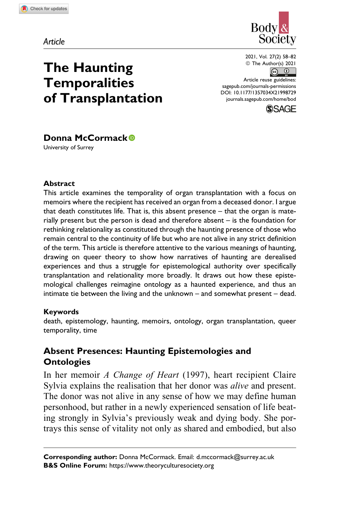*Article*



2021, Vol. 27(2) 58–82 <sup>©</sup> The Author(s) 2021  $\circledcirc$ 

Article reuse guidelines: [sagepub.com/journals-permissions](https://sagepub.com/journals-permissions) [DOI: 10.1177/1357034X21998729](https://doi.org/10.1177/1357034X21998729) [journals.sagepub.com/home/bod](http://journals.sagepub.com/home/bod)



# **Donna McCormack**

**The Haunting Temporalities**

**of Transplantation**

University of Surrey

#### **Abstract**

This article examines the temporality of organ transplantation with a focus on memoirs where the recipient has received an organ from a deceased donor. I argue that death constitutes life. That is, this absent presence – that the organ is materially present but the person is dead and therefore absent – is the foundation for rethinking relationality as constituted through the haunting presence of those who remain central to the continuity of life but who are not alive in any strict definition of the term. This article is therefore attentive to the various meanings of haunting, drawing on queer theory to show how narratives of haunting are derealised experiences and thus a struggle for epistemological authority over specifically transplantation and relationality more broadly. It draws out how these epistemological challenges reimagine ontology as a haunted experience, and thus an intimate tie between the living and the unknown – and somewhat present – dead.

#### **Keywords**

death, epistemology, haunting, memoirs, ontology, organ transplantation, queer temporality, time

# **Absent Presences: Haunting Epistemologies and Ontologies**

In her memoir A Change of Heart (1997), heart recipient Claire Sylvia explains the realisation that her donor was *alive* and present. The donor was not alive in any sense of how we may define human personhood, but rather in a newly experienced sensation of life beating strongly in Sylvia's previously weak and dying body. She portrays this sense of vitality not only as shared and embodied, but also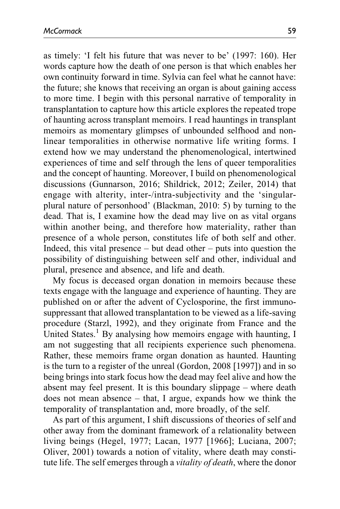as timely: 'I felt his future that was never to be' (1997: 160). Her words capture how the death of one person is that which enables her own continuity forward in time. Sylvia can feel what he cannot have: the future; she knows that receiving an organ is about gaining access to more time. I begin with this personal narrative of temporality in transplantation to capture how this article explores the repeated trope of haunting across transplant memoirs. I read hauntings in transplant memoirs as momentary glimpses of unbounded selfhood and nonlinear temporalities in otherwise normative life writing forms. I extend how we may understand the phenomenological, intertwined experiences of time and self through the lens of queer temporalities and the concept of haunting. Moreover, I build on phenomenological discussions (Gunnarson, 2016; Shildrick, 2012; Zeiler, 2014) that engage with alterity, inter-/intra-subjectivity and the 'singularplural nature of personhood' (Blackman, 2010: 5) by turning to the dead. That is, I examine how the dead may live on as vital organs within another being, and therefore how materiality, rather than presence of a whole person, constitutes life of both self and other. Indeed, this vital presence – but dead other – puts into question the possibility of distinguishing between self and other, individual and plural, presence and absence, and life and death.

My focus is deceased organ donation in memoirs because these texts engage with the language and experience of haunting. They are published on or after the advent of Cyclosporine, the first immunosuppressant that allowed transplantation to be viewed as a life-saving procedure (Starzl, 1992), and they originate from France and the United States.<sup>1</sup> By analysing how memoirs engage with haunting, I am not suggesting that all recipients experience such phenomena. Rather, these memoirs frame organ donation as haunted. Haunting is the turn to a register of the unreal (Gordon, 2008 [1997]) and in so being brings into stark focus how the dead may feel alive and how the absent may feel present. It is this boundary slippage – where death does not mean absence – that, I argue, expands how we think the temporality of transplantation and, more broadly, of the self.

As part of this argument, I shift discussions of theories of self and other away from the dominant framework of a relationality between living beings (Hegel, 1977; Lacan, 1977 [1966]; Luciana, 2007; Oliver, 2001) towards a notion of vitality, where death may constitute life. The self emerges through a *vitality of death*, where the donor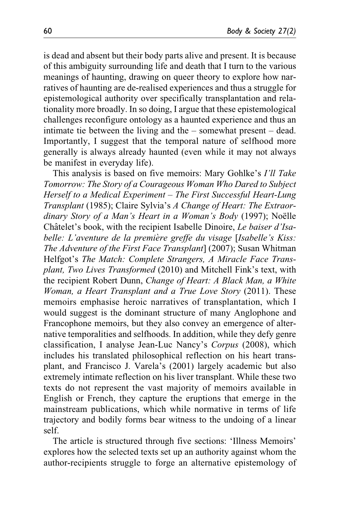is dead and absent but their body parts alive and present. It is because of this ambiguity surrounding life and death that I turn to the various meanings of haunting, drawing on queer theory to explore how narratives of haunting are de-realised experiences and thus a struggle for epistemological authority over specifically transplantation and relationality more broadly. In so doing, I argue that these epistemological challenges reconfigure ontology as a haunted experience and thus an intimate tie between the living and the – somewhat present – dead. Importantly, I suggest that the temporal nature of selfhood more generally is always already haunted (even while it may not always be manifest in everyday life).

This analysis is based on five memoirs: Mary Gohlke's I'll Take Tomorrow: The Story of a Courageous Woman Who Dared to Subject Herself to a Medical Experiment – The First Successful Heart-Lung Transplant (1985); Claire Sylvia's A Change of Heart: The Extraordinary Story of a Man's Heart in a Woman's Body (1997); Noëlle Châtelet's book, with the recipient Isabelle Dinoire, Le baiser d'Isabelle: L'aventure de la première greffe du visage [Isabelle's Kiss: The Adventure of the First Face Transplant] (2007); Susan Whitman Helfgot's The Match: Complete Strangers, A Miracle Face Transplant, Two Lives Transformed (2010) and Mitchell Fink's text, with the recipient Robert Dunn, Change of Heart: A Black Man, a White Woman, a Heart Transplant and a True Love Story (2011). These memoirs emphasise heroic narratives of transplantation, which I would suggest is the dominant structure of many Anglophone and Francophone memoirs, but they also convey an emergence of alternative temporalities and selfhoods. In addition, while they defy genre classification, I analyse Jean-Luc Nancy's Corpus (2008), which includes his translated philosophical reflection on his heart transplant, and Francisco J. Varela's (2001) largely academic but also extremely intimate reflection on his liver transplant. While these two texts do not represent the vast majority of memoirs available in English or French, they capture the eruptions that emerge in the mainstream publications, which while normative in terms of life trajectory and bodily forms bear witness to the undoing of a linear self.

The article is structured through five sections: 'Illness Memoirs' explores how the selected texts set up an authority against whom the author-recipients struggle to forge an alternative epistemology of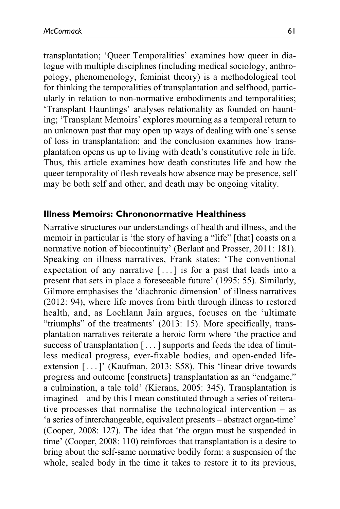transplantation; 'Queer Temporalities' examines how queer in dialogue with multiple disciplines (including medical sociology, anthropology, phenomenology, feminist theory) is a methodological tool for thinking the temporalities of transplantation and selfhood, particularly in relation to non-normative embodiments and temporalities; 'Transplant Hauntings' analyses relationality as founded on haunting; 'Transplant Memoirs' explores mourning as a temporal return to an unknown past that may open up ways of dealing with one's sense of loss in transplantation; and the conclusion examines how transplantation opens us up to living with death's constitutive role in life. Thus, this article examines how death constitutes life and how the queer temporality of flesh reveals how absence may be presence, self may be both self and other, and death may be ongoing vitality.

### **Illness Memoirs: Chrononormative Healthiness**

Narrative structures our understandings of health and illness, and the memoir in particular is 'the story of having a "life" [that] coasts on a normative notion of biocontinuity' (Berlant and Prosser, 2011: 181). Speaking on illness narratives, Frank states: 'The conventional expectation of any narrative [ ... ] is for a past that leads into a present that sets in place a foreseeable future' (1995: 55). Similarly, Gilmore emphasises the 'diachronic dimension' of illness narratives (2012: 94), where life moves from birth through illness to restored health, and, as Lochlann Jain argues, focuses on the 'ultimate "triumphs" of the treatments' (2013: 15). More specifically, transplantation narratives reiterate a heroic form where 'the practice and success of transplantation [ ... ] supports and feeds the idea of limitless medical progress, ever-fixable bodies, and open-ended lifeextension [... ]' (Kaufman, 2013: S58). This 'linear drive towards progress and outcome [constructs] transplantation as an "endgame," a culmination, a tale told' (Kierans, 2005: 345). Transplantation is imagined – and by this I mean constituted through a series of reiterative processes that normalise the technological intervention – as 'a series of interchangeable, equivalent presents – abstract organ-time' (Cooper, 2008: 127). The idea that 'the organ must be suspended in time' (Cooper, 2008: 110) reinforces that transplantation is a desire to bring about the self-same normative bodily form: a suspension of the whole, sealed body in the time it takes to restore it to its previous,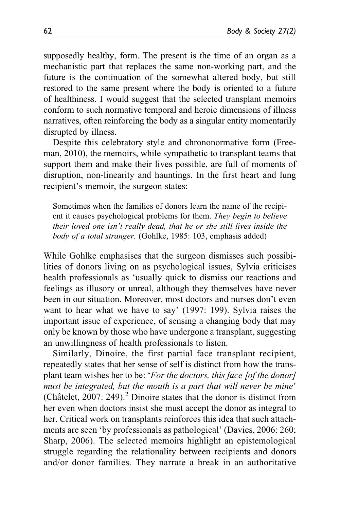supposedly healthy, form. The present is the time of an organ as a mechanistic part that replaces the same non-working part, and the future is the continuation of the somewhat altered body, but still restored to the same present where the body is oriented to a future of healthiness. I would suggest that the selected transplant memoirs conform to such normative temporal and heroic dimensions of illness narratives, often reinforcing the body as a singular entity momentarily disrupted by illness.

Despite this celebratory style and chrononormative form (Freeman, 2010), the memoirs, while sympathetic to transplant teams that support them and make their lives possible, are full of moments of disruption, non-linearity and hauntings. In the first heart and lung recipient's memoir, the surgeon states:

Sometimes when the families of donors learn the name of the recipient it causes psychological problems for them. They begin to believe their loved one isn't really dead, that he or she still lives inside the body of a total stranger. (Gohlke, 1985: 103, emphasis added)

While Gohlke emphasises that the surgeon dismisses such possibilities of donors living on as psychological issues, Sylvia criticises health professionals as 'usually quick to dismiss our reactions and feelings as illusory or unreal, although they themselves have never been in our situation. Moreover, most doctors and nurses don't even want to hear what we have to say' (1997: 199). Sylvia raises the important issue of experience, of sensing a changing body that may only be known by those who have undergone a transplant, suggesting an unwillingness of health professionals to listen.

Similarly, Dinoire, the first partial face transplant recipient, repeatedly states that her sense of self is distinct from how the transplant team wishes her to be: '*For the doctors, this face [of the donor]* must be integrated, but the mouth is a part that will never be mine' (Châtelet, 2007: 249).<sup>2</sup> Dinoire states that the donor is distinct from her even when doctors insist she must accept the donor as integral to her. Critical work on transplants reinforces this idea that such attachments are seen 'by professionals as pathological' (Davies, 2006: 260; Sharp, 2006). The selected memoirs highlight an epistemological struggle regarding the relationality between recipients and donors and/or donor families. They narrate a break in an authoritative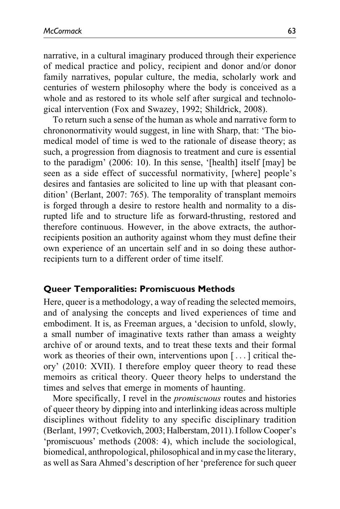narrative, in a cultural imaginary produced through their experience of medical practice and policy, recipient and donor and/or donor family narratives, popular culture, the media, scholarly work and centuries of western philosophy where the body is conceived as a whole and as restored to its whole self after surgical and technological intervention (Fox and Swazey, 1992; Shildrick, 2008).

To return such a sense of the human as whole and narrative form to chrononormativity would suggest, in line with Sharp, that: 'The biomedical model of time is wed to the rationale of disease theory; as such, a progression from diagnosis to treatment and cure is essential to the paradigm' (2006: 10). In this sense, '[health] itself [may] be seen as a side effect of successful normativity, [where] people's desires and fantasies are solicited to line up with that pleasant condition' (Berlant, 2007: 765). The temporality of transplant memoirs is forged through a desire to restore health and normality to a disrupted life and to structure life as forward-thrusting, restored and therefore continuous. However, in the above extracts, the authorrecipients position an authority against whom they must define their own experience of an uncertain self and in so doing these authorrecipients turn to a different order of time itself.

### **Queer Temporalities: Promiscuous Methods**

Here, queer is a methodology, a way of reading the selected memoirs, and of analysing the concepts and lived experiences of time and embodiment. It is, as Freeman argues, a 'decision to unfold, slowly, a small number of imaginative texts rather than amass a weighty archive of or around texts, and to treat these texts and their formal work as theories of their own, interventions upon [... ] critical theory' (2010: XVII). I therefore employ queer theory to read these memoirs as critical theory. Queer theory helps to understand the times and selves that emerge in moments of haunting.

More specifically, I revel in the promiscuous routes and histories of queer theory by dipping into and interlinking ideas across multiple disciplines without fidelity to any specific disciplinary tradition (Berlant, 1997; Cvetkovich, 2003; Halberstam, 2011). I follow Cooper's 'promiscuous' methods (2008: 4), which include the sociological, biomedical, anthropological, philosophical and in my case the literary, as well as Sara Ahmed's description of her 'preference for such queer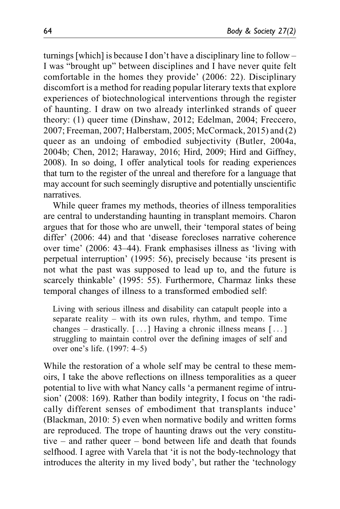turnings [which] is because I don't have a disciplinary line to follow – I was "brought up" between disciplines and I have never quite felt comfortable in the homes they provide' (2006: 22). Disciplinary discomfort is a method for reading popular literary texts that explore experiences of biotechnological interventions through the register of haunting. I draw on two already interlinked strands of queer theory: (1) queer time (Dinshaw, 2012; Edelman, 2004; Freccero, 2007; Freeman, 2007; Halberstam, 2005; McCormack, 2015) and (2) queer as an undoing of embodied subjectivity (Butler, 2004a, 2004b; Chen, 2012; Haraway, 2016; Hird, 2009; Hird and Giffney, 2008). In so doing, I offer analytical tools for reading experiences that turn to the register of the unreal and therefore for a language that may account for such seemingly disruptive and potentially unscientific narratives.

While queer frames my methods, theories of illness temporalities are central to understanding haunting in transplant memoirs. Charon argues that for those who are unwell, their 'temporal states of being differ' (2006: 44) and that 'disease forecloses narrative coherence over time' (2006: 43–44). Frank emphasises illness as 'living with perpetual interruption' (1995: 56), precisely because 'its present is not what the past was supposed to lead up to, and the future is scarcely thinkable' (1995: 55). Furthermore, Charmaz links these temporal changes of illness to a transformed embodied self:

Living with serious illness and disability can catapult people into a separate reality – with its own rules, rhythm, and tempo. Time changes – drastically.  $[\dots]$  Having a chronic illness means  $[\dots]$ struggling to maintain control over the defining images of self and over one's life. (1997: 4–5)

While the restoration of a whole self may be central to these memoirs, I take the above reflections on illness temporalities as a queer potential to live with what Nancy calls 'a permanent regime of intrusion' (2008: 169). Rather than bodily integrity, I focus on 'the radically different senses of embodiment that transplants induce' (Blackman, 2010: 5) even when normative bodily and written forms are reproduced. The trope of haunting draws out the very constitutive – and rather queer – bond between life and death that founds selfhood. I agree with Varela that 'it is not the body-technology that introduces the alterity in my lived body', but rather the 'technology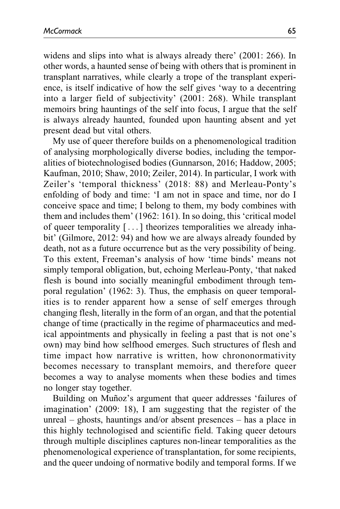widens and slips into what is always already there' (2001: 266). In other words, a haunted sense of being with others that is prominent in transplant narratives, while clearly a trope of the transplant experience, is itself indicative of how the self gives 'way to a decentring into a larger field of subjectivity' (2001: 268). While transplant memoirs bring hauntings of the self into focus, I argue that the self is always already haunted, founded upon haunting absent and yet present dead but vital others.

My use of queer therefore builds on a phenomenological tradition of analysing morphologically diverse bodies, including the temporalities of biotechnologised bodies (Gunnarson, 2016; Haddow, 2005; Kaufman, 2010; Shaw, 2010; Zeiler, 2014). In particular, I work with Zeiler's 'temporal thickness' (2018: 88) and Merleau-Ponty's enfolding of body and time: 'I am not in space and time, nor do I conceive space and time; I belong to them, my body combines with them and includes them' (1962: 161). In so doing, this 'critical model of queer temporality [... ] theorizes temporalities we already inhabit' (Gilmore, 2012: 94) and how we are always already founded by death, not as a future occurrence but as the very possibility of being. To this extent, Freeman's analysis of how 'time binds' means not simply temporal obligation, but, echoing Merleau-Ponty, 'that naked flesh is bound into socially meaningful embodiment through temporal regulation' (1962: 3). Thus, the emphasis on queer temporalities is to render apparent how a sense of self emerges through changing flesh, literally in the form of an organ, and that the potential change of time (practically in the regime of pharmaceutics and medical appointments and physically in feeling a past that is not one's own) may bind how selfhood emerges. Such structures of flesh and time impact how narrative is written, how chrononormativity becomes necessary to transplant memoirs, and therefore queer becomes a way to analyse moments when these bodies and times no longer stay together.

Building on Munoz's argument that queer addresses 'failures of imagination' (2009: 18), I am suggesting that the register of the unreal – ghosts, hauntings and/or absent presences – has a place in this highly technologised and scientific field. Taking queer detours through multiple disciplines captures non-linear temporalities as the phenomenological experience of transplantation, for some recipients, and the queer undoing of normative bodily and temporal forms. If we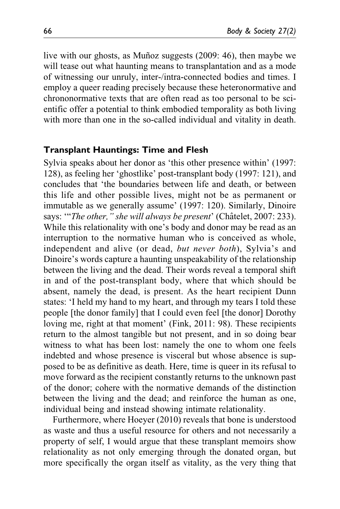live with our ghosts, as Muñoz suggests (2009: 46), then maybe we will tease out what haunting means to transplantation and as a mode of witnessing our unruly, inter-/intra-connected bodies and times. I employ a queer reading precisely because these heteronormative and chrononormative texts that are often read as too personal to be scientific offer a potential to think embodied temporality as both living with more than one in the so-called individual and vitality in death.

#### **Transplant Hauntings: Time and Flesh**

Sylvia speaks about her donor as 'this other presence within' (1997: 128), as feeling her 'ghostlike' post-transplant body (1997: 121), and concludes that 'the boundaries between life and death, or between this life and other possible lives, might not be as permanent or immutable as we generally assume' (1997: 120). Similarly, Dinoire says: "The other," she will always be present' (Châtelet, 2007: 233). While this relationality with one's body and donor may be read as an interruption to the normative human who is conceived as whole, independent and alive (or dead, but never both), Sylvia's and Dinoire's words capture a haunting unspeakability of the relationship between the living and the dead. Their words reveal a temporal shift in and of the post-transplant body, where that which should be absent, namely the dead, is present. As the heart recipient Dunn states: 'I held my hand to my heart, and through my tears I told these people [the donor family] that I could even feel [the donor] Dorothy loving me, right at that moment' (Fink, 2011: 98). These recipients return to the almost tangible but not present, and in so doing bear witness to what has been lost: namely the one to whom one feels indebted and whose presence is visceral but whose absence is supposed to be as definitive as death. Here, time is queer in its refusal to move forward as the recipient constantly returns to the unknown past of the donor; cohere with the normative demands of the distinction between the living and the dead; and reinforce the human as one, individual being and instead showing intimate relationality.

Furthermore, where Hoeyer (2010) reveals that bone is understood as waste and thus a useful resource for others and not necessarily a property of self, I would argue that these transplant memoirs show relationality as not only emerging through the donated organ, but more specifically the organ itself as vitality, as the very thing that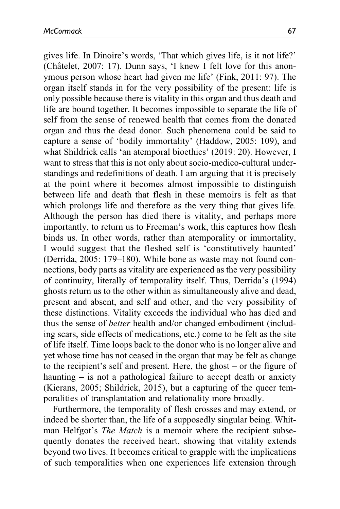gives life. In Dinoire's words, 'That which gives life, is it not life?' (Châtelet, 2007: 17). Dunn says, 'I knew I felt love for this anonymous person whose heart had given me life' (Fink, 2011: 97). The organ itself stands in for the very possibility of the present: life is only possible because there is vitality in this organ and thus death and life are bound together. It becomes impossible to separate the life of self from the sense of renewed health that comes from the donated organ and thus the dead donor. Such phenomena could be said to capture a sense of 'bodily immortality' (Haddow, 2005: 109), and what Shildrick calls 'an atemporal bioethics' (2019: 20). However, I want to stress that this is not only about socio-medico-cultural understandings and redefinitions of death. I am arguing that it is precisely at the point where it becomes almost impossible to distinguish between life and death that flesh in these memoirs is felt as that which prolongs life and therefore as the very thing that gives life. Although the person has died there is vitality, and perhaps more importantly, to return us to Freeman's work, this captures how flesh binds us. In other words, rather than atemporality or immortality, I would suggest that the fleshed self is 'constitutively haunted' (Derrida, 2005: 179–180). While bone as waste may not found connections, body parts as vitality are experienced as the very possibility of continuity, literally of temporality itself. Thus, Derrida's (1994) ghosts return us to the other within as simultaneously alive and dead, present and absent, and self and other, and the very possibility of these distinctions. Vitality exceeds the individual who has died and thus the sense of better health and/or changed embodiment (including scars, side effects of medications, etc.) come to be felt as the site of life itself. Time loops back to the donor who is no longer alive and yet whose time has not ceased in the organ that may be felt as change to the recipient's self and present. Here, the ghost – or the figure of haunting – is not a pathological failure to accept death or anxiety (Kierans, 2005; Shildrick, 2015), but a capturing of the queer temporalities of transplantation and relationality more broadly.

Furthermore, the temporality of flesh crosses and may extend, or indeed be shorter than, the life of a supposedly singular being. Whitman Helfgot's The Match is a memoir where the recipient subsequently donates the received heart, showing that vitality extends beyond two lives. It becomes critical to grapple with the implications of such temporalities when one experiences life extension through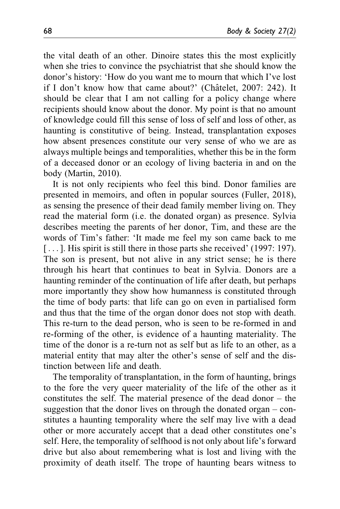the vital death of an other. Dinoire states this the most explicitly when she tries to convince the psychiatrist that she should know the donor's history: 'How do you want me to mourn that which I've lost if I don't know how that came about?' (Châtelet, 2007: 242). It should be clear that I am not calling for a policy change where recipients should know about the donor. My point is that no amount of knowledge could fill this sense of loss of self and loss of other, as haunting is constitutive of being. Instead, transplantation exposes how absent presences constitute our very sense of who we are as always multiple beings and temporalities, whether this be in the form of a deceased donor or an ecology of living bacteria in and on the body (Martin, 2010).

It is not only recipients who feel this bind. Donor families are presented in memoirs, and often in popular sources (Fuller, 2018), as sensing the presence of their dead family member living on. They read the material form (i.e. the donated organ) as presence. Sylvia describes meeting the parents of her donor, Tim, and these are the words of Tim's father: 'It made me feel my son came back to me [...]. His spirit is still there in those parts she received' (1997: 197). The son is present, but not alive in any strict sense; he is there through his heart that continues to beat in Sylvia. Donors are a haunting reminder of the continuation of life after death, but perhaps more importantly they show how humanness is constituted through the time of body parts: that life can go on even in partialised form and thus that the time of the organ donor does not stop with death. This re-turn to the dead person, who is seen to be re-formed in and re-forming of the other, is evidence of a haunting materiality. The time of the donor is a re-turn not as self but as life to an other, as a material entity that may alter the other's sense of self and the distinction between life and death.

The temporality of transplantation, in the form of haunting, brings to the fore the very queer materiality of the life of the other as it constitutes the self. The material presence of the dead donor – the suggestion that the donor lives on through the donated organ – constitutes a haunting temporality where the self may live with a dead other or more accurately accept that a dead other constitutes one's self. Here, the temporality of selfhood is not only about life's forward drive but also about remembering what is lost and living with the proximity of death itself. The trope of haunting bears witness to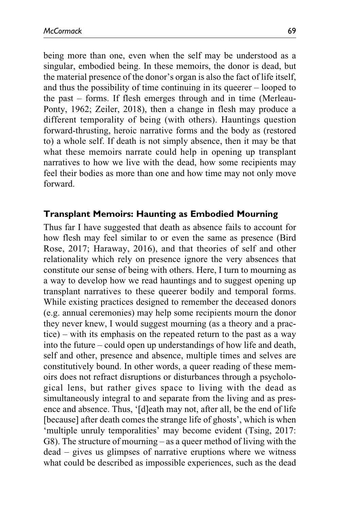being more than one, even when the self may be understood as a singular, embodied being. In these memoirs, the donor is dead, but the material presence of the donor's organ is also the fact of life itself, and thus the possibility of time continuing in its queerer – looped to the past – forms. If flesh emerges through and in time (Merleau-Ponty, 1962; Zeiler, 2018), then a change in flesh may produce a different temporality of being (with others). Hauntings question forward-thrusting, heroic narrative forms and the body as (restored to) a whole self. If death is not simply absence, then it may be that what these memoirs narrate could help in opening up transplant narratives to how we live with the dead, how some recipients may feel their bodies as more than one and how time may not only move forward.

### **Transplant Memoirs: Haunting as Embodied Mourning**

Thus far I have suggested that death as absence fails to account for how flesh may feel similar to or even the same as presence (Bird Rose, 2017; Haraway, 2016), and that theories of self and other relationality which rely on presence ignore the very absences that constitute our sense of being with others. Here, I turn to mourning as a way to develop how we read hauntings and to suggest opening up transplant narratives to these queerer bodily and temporal forms. While existing practices designed to remember the deceased donors (e.g. annual ceremonies) may help some recipients mourn the donor they never knew, I would suggest mourning (as a theory and a practice) – with its emphasis on the repeated return to the past as a way into the future – could open up understandings of how life and death, self and other, presence and absence, multiple times and selves are constitutively bound. In other words, a queer reading of these memoirs does not refract disruptions or disturbances through a psychological lens, but rather gives space to living with the dead as simultaneously integral to and separate from the living and as presence and absence. Thus, '[d]eath may not, after all, be the end of life [because] after death comes the strange life of ghosts', which is when 'multiple unruly temporalities' may become evident (Tsing, 2017: G8). The structure of mourning – as a queer method of living with the dead – gives us glimpses of narrative eruptions where we witness what could be described as impossible experiences, such as the dead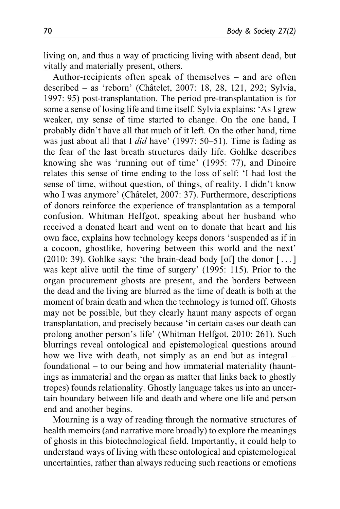living on, and thus a way of practicing living with absent dead, but vitally and materially present, others.

Author-recipients often speak of themselves – and are often described – as 'reborn' (Chˆatelet, 2007: 18, 28, 121, 292; Sylvia, 1997: 95) post-transplantation. The period pre-transplantation is for some a sense of losing life and time itself. Sylvia explains: 'As I grew weaker, my sense of time started to change. On the one hand, I probably didn't have all that much of it left. On the other hand, time was just about all that I *did* have' (1997: 50–51). Time is fading as the fear of the last breath structures daily life. Gohlke describes knowing she was 'running out of time' (1995: 77), and Dinoire relates this sense of time ending to the loss of self: 'I had lost the sense of time, without question, of things, of reality. I didn't know who I was anymore' (Châtelet, 2007: 37). Furthermore, descriptions of donors reinforce the experience of transplantation as a temporal confusion. Whitman Helfgot, speaking about her husband who received a donated heart and went on to donate that heart and his own face, explains how technology keeps donors 'suspended as if in a cocoon, ghostlike, hovering between this world and the next' (2010: 39). Gohlke says: 'the brain-dead body [of] the donor  $[\dots]$ was kept alive until the time of surgery' (1995: 115). Prior to the organ procurement ghosts are present, and the borders between the dead and the living are blurred as the time of death is both at the moment of brain death and when the technology is turned off. Ghosts may not be possible, but they clearly haunt many aspects of organ transplantation, and precisely because 'in certain cases our death can prolong another person's life' (Whitman Helfgot, 2010: 261). Such blurrings reveal ontological and epistemological questions around how we live with death, not simply as an end but as integral – foundational – to our being and how immaterial materiality (hauntings as immaterial and the organ as matter that links back to ghostly tropes) founds relationality. Ghostly language takes us into an uncertain boundary between life and death and where one life and person end and another begins.

Mourning is a way of reading through the normative structures of health memoirs (and narrative more broadly) to explore the meanings of ghosts in this biotechnological field. Importantly, it could help to understand ways of living with these ontological and epistemological uncertainties, rather than always reducing such reactions or emotions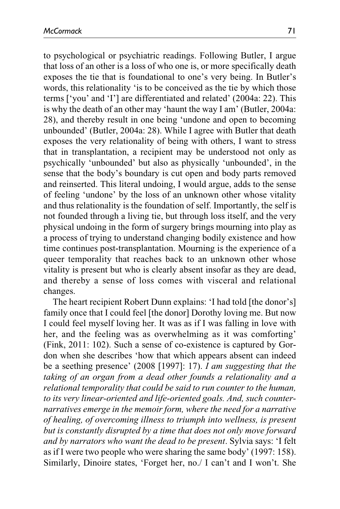to psychological or psychiatric readings. Following Butler, I argue that loss of an other is a loss of who one is, or more specifically death exposes the tie that is foundational to one's very being. In Butler's words, this relationality 'is to be conceived as the tie by which those terms ['you' and 'I'] are differentiated and related' (2004a: 22). This is why the death of an other may 'haunt the way I am' (Butler, 2004a: 28), and thereby result in one being 'undone and open to becoming unbounded' (Butler, 2004a: 28). While I agree with Butler that death exposes the very relationality of being with others, I want to stress that in transplantation, a recipient may be understood not only as psychically 'unbounded' but also as physically 'unbounded', in the sense that the body's boundary is cut open and body parts removed and reinserted. This literal undoing, I would argue, adds to the sense of feeling 'undone' by the loss of an unknown other whose vitality and thus relationality is the foundation of self. Importantly, the self is not founded through a living tie, but through loss itself, and the very physical undoing in the form of surgery brings mourning into play as a process of trying to understand changing bodily existence and how time continues post-transplantation. Mourning is the experience of a queer temporality that reaches back to an unknown other whose vitality is present but who is clearly absent insofar as they are dead, and thereby a sense of loss comes with visceral and relational changes.

The heart recipient Robert Dunn explains: 'I had told [the donor's] family once that I could feel [the donor] Dorothy loving me. But now I could feel myself loving her. It was as if I was falling in love with her, and the feeling was as overwhelming as it was comforting' (Fink, 2011: 102). Such a sense of co-existence is captured by Gordon when she describes 'how that which appears absent can indeed be a seething presence' (2008 [1997]: 17). I am suggesting that the taking of an organ from a dead other founds a relationality and a relational temporality that could be said to run counter to the human, to its very linear-oriented and life-oriented goals. And, such counternarratives emerge in the memoir form, where the need for a narrative of healing, of overcoming illness to triumph into wellness, is present but is constantly disrupted by a time that does not only move forward and by narrators who want the dead to be present. Sylvia says: 'I felt as if I were two people who were sharing the same body' (1997: 158). Similarly, Dinoire states, 'Forget her, no./ I can't and I won't. She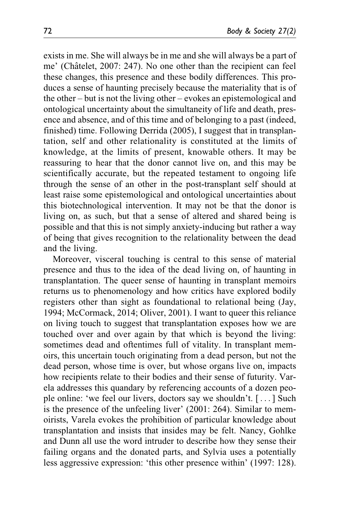exists in me. She will always be in me and she will always be a part of me' (Châtelet, 2007: 247). No one other than the recipient can feel these changes, this presence and these bodily differences. This produces a sense of haunting precisely because the materiality that is of the other – but is not the living other – evokes an epistemological and ontological uncertainty about the simultaneity of life and death, presence and absence, and of this time and of belonging to a past (indeed, finished) time. Following Derrida (2005), I suggest that in transplantation, self and other relationality is constituted at the limits of knowledge, at the limits of present, knowable others. It may be reassuring to hear that the donor cannot live on, and this may be scientifically accurate, but the repeated testament to ongoing life through the sense of an other in the post-transplant self should at least raise some epistemological and ontological uncertainties about this biotechnological intervention. It may not be that the donor is living on, as such, but that a sense of altered and shared being is possible and that this is not simply anxiety-inducing but rather a way of being that gives recognition to the relationality between the dead and the living.

Moreover, visceral touching is central to this sense of material presence and thus to the idea of the dead living on, of haunting in transplantation. The queer sense of haunting in transplant memoirs returns us to phenomenology and how critics have explored bodily registers other than sight as foundational to relational being (Jay, 1994; McCormack, 2014; Oliver, 2001). I want to queer this reliance on living touch to suggest that transplantation exposes how we are touched over and over again by that which is beyond the living: sometimes dead and oftentimes full of vitality. In transplant memoirs, this uncertain touch originating from a dead person, but not the dead person, whose time is over, but whose organs live on, impacts how recipients relate to their bodies and their sense of futurity. Varela addresses this quandary by referencing accounts of a dozen people online: 'we feel our livers, doctors say we shouldn't. [... ] Such is the presence of the unfeeling liver' (2001: 264). Similar to memoirists, Varela evokes the prohibition of particular knowledge about transplantation and insists that insides may be felt. Nancy, Gohlke and Dunn all use the word intruder to describe how they sense their failing organs and the donated parts, and Sylvia uses a potentially less aggressive expression: 'this other presence within' (1997: 128).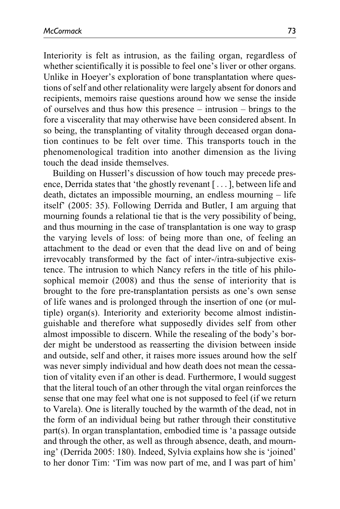Interiority is felt as intrusion, as the failing organ, regardless of whether scientifically it is possible to feel one's liver or other organs. Unlike in Hoeyer's exploration of bone transplantation where questions of self and other relationality were largely absent for donors and recipients, memoirs raise questions around how we sense the inside of ourselves and thus how this presence – intrusion – brings to the fore a viscerality that may otherwise have been considered absent. In so being, the transplanting of vitality through deceased organ donation continues to be felt over time. This transports touch in the phenomenological tradition into another dimension as the living touch the dead inside themselves.

Building on Husserl's discussion of how touch may precede presence, Derrida states that 'the ghostly revenant [... ], between life and death, dictates an impossible mourning, an endless mourning – life itself' (2005: 35). Following Derrida and Butler, I am arguing that mourning founds a relational tie that is the very possibility of being, and thus mourning in the case of transplantation is one way to grasp the varying levels of loss: of being more than one, of feeling an attachment to the dead or even that the dead live on and of being irrevocably transformed by the fact of inter-/intra-subjective existence. The intrusion to which Nancy refers in the title of his philosophical memoir (2008) and thus the sense of interiority that is brought to the fore pre-transplantation persists as one's own sense of life wanes and is prolonged through the insertion of one (or multiple) organ(s). Interiority and exteriority become almost indistinguishable and therefore what supposedly divides self from other almost impossible to discern. While the resealing of the body's border might be understood as reasserting the division between inside and outside, self and other, it raises more issues around how the self was never simply individual and how death does not mean the cessation of vitality even if an other is dead. Furthermore, I would suggest that the literal touch of an other through the vital organ reinforces the sense that one may feel what one is not supposed to feel (if we return to Varela). One is literally touched by the warmth of the dead, not in the form of an individual being but rather through their constitutive part(s). In organ transplantation, embodied time is 'a passage outside and through the other, as well as through absence, death, and mourning' (Derrida 2005: 180). Indeed, Sylvia explains how she is 'joined' to her donor Tim: 'Tim was now part of me, and I was part of him'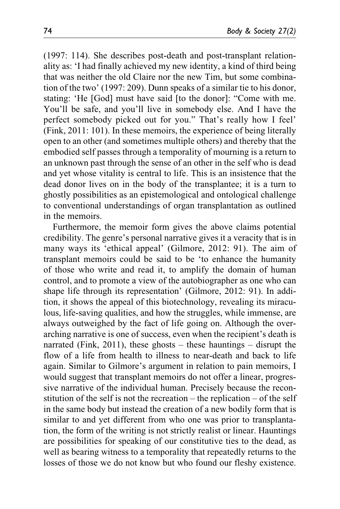(1997: 114). She describes post-death and post-transplant relationality as: 'I had finally achieved my new identity, a kind of third being that was neither the old Claire nor the new Tim, but some combination of the two' (1997: 209). Dunn speaks of a similar tie to his donor, stating: 'He [God] must have said [to the donor]: "Come with me. You'll be safe, and you'll live in somebody else. And I have the perfect somebody picked out for you." That's really how I feel' (Fink, 2011: 101). In these memoirs, the experience of being literally open to an other (and sometimes multiple others) and thereby that the embodied self passes through a temporality of mourning is a return to an unknown past through the sense of an other in the self who is dead and yet whose vitality is central to life. This is an insistence that the dead donor lives on in the body of the transplantee; it is a turn to ghostly possibilities as an epistemological and ontological challenge to conventional understandings of organ transplantation as outlined in the memoirs.

Furthermore, the memoir form gives the above claims potential credibility. The genre's personal narrative gives it a veracity that is in many ways its 'ethical appeal' (Gilmore, 2012: 91). The aim of transplant memoirs could be said to be 'to enhance the humanity of those who write and read it, to amplify the domain of human control, and to promote a view of the autobiographer as one who can shape life through its representation' (Gilmore, 2012: 91). In addition, it shows the appeal of this biotechnology, revealing its miraculous, life-saving qualities, and how the struggles, while immense, are always outweighed by the fact of life going on. Although the overarching narrative is one of success, even when the recipient's death is narrated (Fink, 2011), these ghosts – these hauntings – disrupt the flow of a life from health to illness to near-death and back to life again. Similar to Gilmore's argument in relation to pain memoirs, I would suggest that transplant memoirs do not offer a linear, progressive narrative of the individual human. Precisely because the reconstitution of the self is not the recreation – the replication – of the self in the same body but instead the creation of a new bodily form that is similar to and yet different from who one was prior to transplantation, the form of the writing is not strictly realist or linear. Hauntings are possibilities for speaking of our constitutive ties to the dead, as well as bearing witness to a temporality that repeatedly returns to the losses of those we do not know but who found our fleshy existence.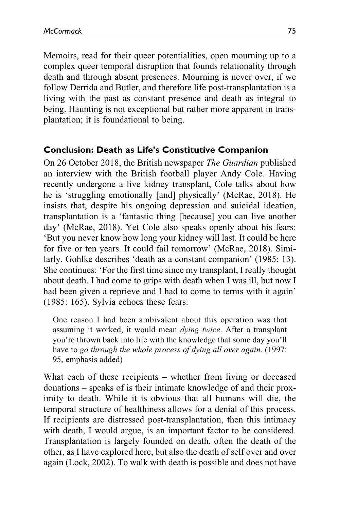Memoirs, read for their queer potentialities, open mourning up to a complex queer temporal disruption that founds relationality through death and through absent presences. Mourning is never over, if we follow Derrida and Butler, and therefore life post-transplantation is a living with the past as constant presence and death as integral to being. Haunting is not exceptional but rather more apparent in transplantation; it is foundational to being.

### **Conclusion: Death as Life's Constitutive Companion**

On 26 October 2018, the British newspaper The Guardian published an interview with the British football player Andy Cole. Having recently undergone a live kidney transplant, Cole talks about how he is 'struggling emotionally [and] physically' (McRae, 2018). He insists that, despite his ongoing depression and suicidal ideation, transplantation is a 'fantastic thing [because] you can live another day' (McRae, 2018). Yet Cole also speaks openly about his fears: 'But you never know how long your kidney will last. It could be here for five or ten years. It could fail tomorrow' (McRae, 2018). Similarly, Gohlke describes 'death as a constant companion' (1985: 13). She continues: 'For the first time since my transplant, I really thought about death. I had come to grips with death when I was ill, but now I had been given a reprieve and I had to come to terms with it again' (1985: 165). Sylvia echoes these fears:

One reason I had been ambivalent about this operation was that assuming it worked, it would mean dying twice. After a transplant you're thrown back into life with the knowledge that some day you'll have to go through the whole process of dying all over again. (1997: 95, emphasis added)

What each of these recipients – whether from living or deceased donations – speaks of is their intimate knowledge of and their proximity to death. While it is obvious that all humans will die, the temporal structure of healthiness allows for a denial of this process. If recipients are distressed post-transplantation, then this intimacy with death, I would argue, is an important factor to be considered. Transplantation is largely founded on death, often the death of the other, as I have explored here, but also the death of self over and over again (Lock, 2002). To walk with death is possible and does not have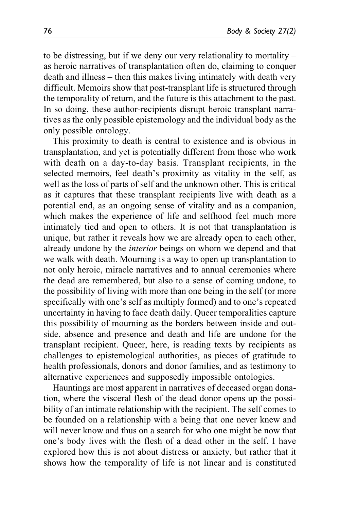to be distressing, but if we deny our very relationality to mortality – as heroic narratives of transplantation often do, claiming to conquer death and illness – then this makes living intimately with death very difficult. Memoirs show that post-transplant life is structured through the temporality of return, and the future is this attachment to the past. In so doing, these author-recipients disrupt heroic transplant narratives as the only possible epistemology and the individual body as the only possible ontology.

This proximity to death is central to existence and is obvious in transplantation, and yet is potentially different from those who work with death on a day-to-day basis. Transplant recipients, in the selected memoirs, feel death's proximity as vitality in the self, as well as the loss of parts of self and the unknown other. This is critical as it captures that these transplant recipients live with death as a potential end, as an ongoing sense of vitality and as a companion, which makes the experience of life and selfhood feel much more intimately tied and open to others. It is not that transplantation is unique, but rather it reveals how we are already open to each other, already undone by the interior beings on whom we depend and that we walk with death. Mourning is a way to open up transplantation to not only heroic, miracle narratives and to annual ceremonies where the dead are remembered, but also to a sense of coming undone, to the possibility of living with more than one being in the self (or more specifically with one's self as multiply formed) and to one's repeated uncertainty in having to face death daily. Queer temporalities capture this possibility of mourning as the borders between inside and outside, absence and presence and death and life are undone for the transplant recipient. Queer, here, is reading texts by recipients as challenges to epistemological authorities, as pieces of gratitude to health professionals, donors and donor families, and as testimony to alternative experiences and supposedly impossible ontologies.

Hauntings are most apparent in narratives of deceased organ donation, where the visceral flesh of the dead donor opens up the possibility of an intimate relationship with the recipient. The self comes to be founded on a relationship with a being that one never knew and will never know and thus on a search for who one might be now that one's body lives with the flesh of a dead other in the self. I have explored how this is not about distress or anxiety, but rather that it shows how the temporality of life is not linear and is constituted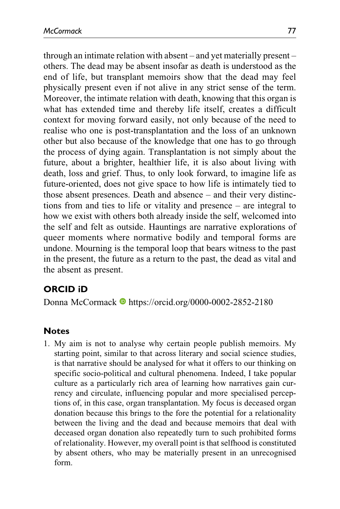through an intimate relation with absent – and yet materially present – others. The dead may be absent insofar as death is understood as the end of life, but transplant memoirs show that the dead may feel physically present even if not alive in any strict sense of the term. Moreover, the intimate relation with death, knowing that this organ is what has extended time and thereby life itself, creates a difficult context for moving forward easily, not only because of the need to realise who one is post-transplantation and the loss of an unknown other but also because of the knowledge that one has to go through the process of dying again. Transplantation is not simply about the future, about a brighter, healthier life, it is also about living with death, loss and grief. Thus, to only look forward, to imagine life as future-oriented, does not give space to how life is intimately tied to those absent presences. Death and absence – and their very distinctions from and ties to life or vitality and presence – are integral to how we exist with others both already inside the self, welcomed into the self and felt as outside. Hauntings are narrative explorations of queer moments where normative bodily and temporal forms are undone. Mourning is the temporal loop that bears witness to the past in the present, the future as a return to the past, the dead as vital and the absent as present.

# **ORCID iD**

Donna McCormack <https://orcid.org/0000-0002-2852-2180>

# **Notes**

1. My aim is not to analyse why certain people publish memoirs. My starting point, similar to that across literary and social science studies, is that narrative should be analysed for what it offers to our thinking on specific socio-political and cultural phenomena. Indeed, I take popular culture as a particularly rich area of learning how narratives gain currency and circulate, influencing popular and more specialised perceptions of, in this case, organ transplantation. My focus is deceased organ donation because this brings to the fore the potential for a relationality between the living and the dead and because memoirs that deal with deceased organ donation also repeatedly turn to such prohibited forms of relationality. However, my overall point is that selfhood is constituted by absent others, who may be materially present in an unrecognised form.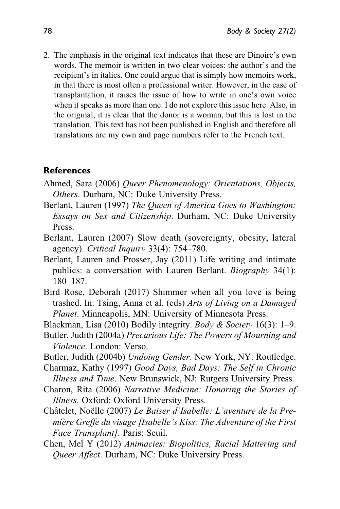2. The emphasis in the original text indicates that these are Dinoire's own words. The memoir is written in two clear voices: the author's and the recipient's in italics. One could argue that is simply how memoirs work, in that there is most often a professional writer. However, in the case of transplantation, it raises the issue of how to write in one's own voice when it speaks as more than one. I do not explore this issue here. Also, in the original, it is clear that the donor is a woman, but this is lost in the translation. This text has not been published in English and therefore all translations are my own and page numbers refer to the French text.

#### **References**

- Ahmed, Sara (2006) Queer Phenomenology: Orientations, Objects, Others. Durham, NC: Duke University Press.
- Berlant, Lauren (1997) The Queen of America Goes to Washington: Essays on Sex and Citizenship. Durham, NC: Duke University Press.
- Berlant, Lauren (2007) Slow death (sovereignty, obesity, lateral agency). Critical Inquiry 33(4): 754–780.
- Berlant, Lauren and Prosser, Jay (2011) Life writing and intimate publics: a conversation with Lauren Berlant. Biography 34(1): 180–187.
- Bird Rose, Deborah (2017) Shimmer when all you love is being trashed. In: Tsing, Anna et al. (eds) Arts of Living on a Damaged Planet. Minneapolis, MN: University of Minnesota Press.
- Blackman, Lisa (2010) Bodily integrity. *Body & Society* 16(3): 1–9.
- Butler, Judith (2004a) Precarious Life: The Powers of Mourning and Violence. London: Verso.
- Butler, Judith (2004b) Undoing Gender. New York, NY: Routledge.
- Charmaz, Kathy (1997) Good Days, Bad Days: The Self in Chronic Illness and Time. New Brunswick, NJ: Rutgers University Press.
- Charon, Rita (2006) Narrative Medicine: Honoring the Stories of Illness. Oxford: Oxford University Press.
- Châtelet, Noëlle (2007) Le Baiser d'Isabelle: L'aventure de la Première Greffe du visage [Isabelle's Kiss: The Adventure of the First Face Transplant]. Paris: Seuil.
- Chen, Mel Y (2012) Animacies: Biopolitics, Racial Mattering and Queer Affect. Durham, NC: Duke University Press.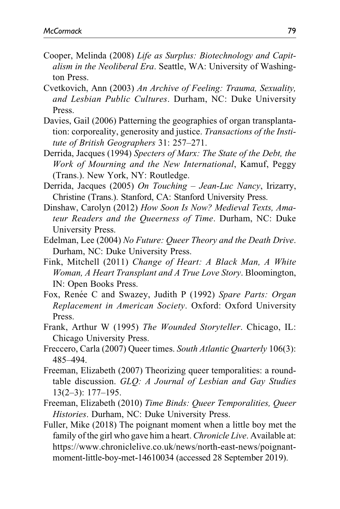- Cooper, Melinda (2008) Life as Surplus: Biotechnology and Capitalism in the Neoliberal Era. Seattle, WA: University of Washington Press.
- Cvetkovich, Ann (2003) An Archive of Feeling: Trauma, Sexuality, and Lesbian Public Cultures. Durham, NC: Duke University Press.
- Davies, Gail (2006) Patterning the geographies of organ transplantation: corporeality, generosity and justice. Transactions of the Institute of British Geographers 31: 257–271.
- Derrida, Jacques (1994) Specters of Marx: The State of the Debt, the Work of Mourning and the New International, Kamuf, Peggy (Trans.). New York, NY: Routledge.
- Derrida, Jacques (2005) On Touching Jean-Luc Nancy, Irizarry, Christine (Trans.). Stanford, CA: Stanford University Press.
- Dinshaw, Carolyn (2012) How Soon Is Now? Medieval Texts, Amateur Readers and the Queerness of Time. Durham, NC: Duke University Press.
- Edelman, Lee (2004) No Future: Queer Theory and the Death Drive. Durham, NC: Duke University Press.
- Fink, Mitchell (2011) Change of Heart: A Black Man, A White Woman, A Heart Transplant and A True Love Story. Bloomington, IN: Open Books Press.
- Fox, Renée C and Swazey, Judith P (1992) Spare Parts: Organ Replacement in American Society. Oxford: Oxford University Press.
- Frank, Arthur W (1995) The Wounded Storyteller. Chicago, IL: Chicago University Press.
- Freccero, Carla (2007) Queer times. South Atlantic Quarterly 106(3): 485–494.
- Freeman, Elizabeth (2007) Theorizing queer temporalities: a roundtable discussion. GLQ: A Journal of Lesbian and Gay Studies 13(2–3): 177–195.
- Freeman, Elizabeth (2010) Time Binds: Queer Temporalities, Queer Histories. Durham, NC: Duke University Press.
- Fuller, Mike (2018) The poignant moment when a little boy met the family of the girl who gave him a heart. *Chronicle Live*. Available at: [https://www.chroniclelive.co.uk/news/north-east-news/poignant](https://www.chroniclelive.co.uk/news/north-east-news/poignant-moment-little-boy-met-14610034)[moment-little-boy-met-14610034](https://www.chroniclelive.co.uk/news/north-east-news/poignant-moment-little-boy-met-14610034) (accessed 28 September 2019).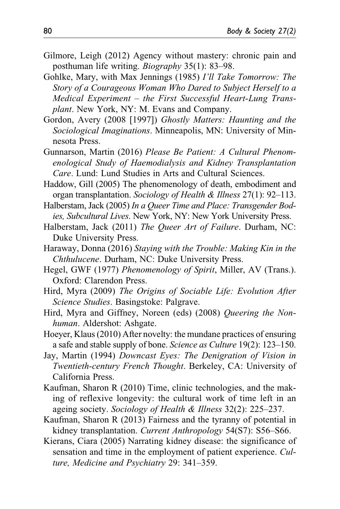- Gilmore, Leigh (2012) Agency without mastery: chronic pain and posthuman life writing. Biography 35(1): 83–98.
- Gohlke, Mary, with Max Jennings (1985) I'll Take Tomorrow: The Story of a Courageous Woman Who Dared to Subject Herself to a Medical Experiment – the First Successful Heart-Lung Transplant. New York, NY: M. Evans and Company.
- Gordon, Avery (2008 [1997]) Ghostly Matters: Haunting and the Sociological Imaginations. Minneapolis, MN: University of Minnesota Press.
- Gunnarson, Martin (2016) Please Be Patient: A Cultural Phenomenological Study of Haemodialysis and Kidney Transplantation Care. Lund: Lund Studies in Arts and Cultural Sciences.
- Haddow, Gill (2005) The phenomenology of death, embodiment and organ transplantation. Sociology of Health & Illness 27(1): 92–113.
- Halberstam, Jack (2005) In a Queer Time and Place: Transgender Bodies, Subcultural Lives. New York, NY: New York University Press.
- Halberstam, Jack (2011) The Queer Art of Failure. Durham, NC: Duke University Press.
- Haraway, Donna (2016) Staying with the Trouble: Making Kin in the Chthulucene. Durham, NC: Duke University Press.
- Hegel, GWF (1977) Phenomenology of Spirit, Miller, AV (Trans.). Oxford: Clarendon Press.
- Hird, Myra (2009) The Origins of Sociable Life: Evolution After Science Studies. Basingstoke: Palgrave.
- Hird, Myra and Giffney, Noreen (eds) (2008) Queering the Nonhuman. Aldershot: Ashgate.
- Hoeyer, Klaus (2010) After novelty: the mundane practices of ensuring a safe and stable supply of bone. Science as Culture 19(2): 123–150.
- Jay, Martin (1994) Downcast Eyes: The Denigration of Vision in Twentieth-century French Thought. Berkeley, CA: University of California Press.
- Kaufman, Sharon R (2010) Time, clinic technologies, and the making of reflexive longevity: the cultural work of time left in an ageing society. Sociology of Health & Illness 32(2): 225–237.
- Kaufman, Sharon R (2013) Fairness and the tyranny of potential in kidney transplantation. Current Anthropology 54(S7): S56–S66.
- Kierans, Ciara (2005) Narrating kidney disease: the significance of sensation and time in the employment of patient experience. Culture, Medicine and Psychiatry 29: 341–359.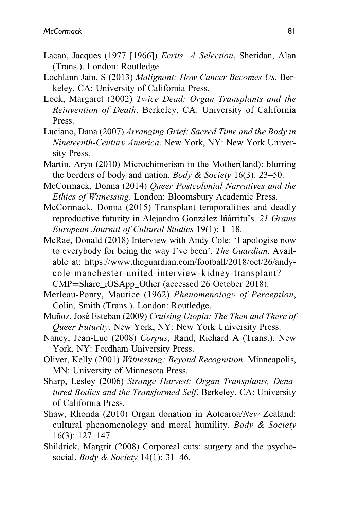- Lacan, Jacques (1977 [1966]) Ecrits: A Selection, Sheridan, Alan (Trans.). London: Routledge.
- Lochlann Jain, S (2013) Malignant: How Cancer Becomes Us. Berkeley, CA: University of California Press.
- Lock, Margaret (2002) Twice Dead: Organ Transplants and the Reinvention of Death. Berkeley, CA: University of California Press.
- Luciano, Dana (2007) Arranging Grief: Sacred Time and the Body in Nineteenth-Century America. New York, NY: New York University Press.
- Martin, Aryn (2010) Microchimerism in the Mother(land): blurring the borders of body and nation. *Body & Society* 16(3): 23–50.
- McCormack, Donna (2014) Queer Postcolonial Narratives and the Ethics of Witnessing. London: Bloomsbury Academic Press.
- McCormack, Donna (2015) Transplant temporalities and deadly reproductive futurity in Alejandro González Iñárritu's. 21 Grams European Journal of Cultural Studies 19(1): 1–18.
- McRae, Donald (2018) Interview with Andy Cole: 'I apologise now to everybody for being the way I've been'. The Guardian. Available at: [https://www.theguardian.com/football/2018/oct/26/andy](https://www.theguardian.com/football/2018/oct/26/andy-cole-manchester-united-interview-kidney-transplant?CMP=Share_iOSApp_Other)[cole-manchester-united-interview-kidney-transplant?](https://www.theguardian.com/football/2018/oct/26/andy-cole-manchester-united-interview-kidney-transplant?CMP=Share_iOSApp_Other) [CMP](https://www.theguardian.com/football/2018/oct/26/andy-cole-manchester-united-interview-kidney-transplant?CMP=Share_iOSApp_Other)=Share iOSApp Other (accessed 26 October 2018).
- Merleau-Ponty, Maurice (1962) Phenomenology of Perception, Colin, Smith (Trans.). London: Routledge.
- Muñoz, José Esteban (2009) Cruising Utopia: The Then and There of Queer Futurity. New York, NY: New York University Press.
- Nancy, Jean-Luc (2008) Corpus, Rand, Richard A (Trans.). New York, NY: Fordham University Press.
- Oliver, Kelly (2001) Witnessing: Beyond Recognition. Minneapolis, MN: University of Minnesota Press.
- Sharp, Lesley (2006) Strange Harvest: Organ Transplants, Denatured Bodies and the Transformed Self. Berkeley, CA: University of California Press.
- Shaw, Rhonda (2010) Organ donation in Aotearoa/New Zealand: cultural phenomenology and moral humility. Body & Society 16(3): 127–147.
- Shildrick, Margrit (2008) Corporeal cuts: surgery and the psychosocial. *Body & Society*  $14(1)$ : 31–46.